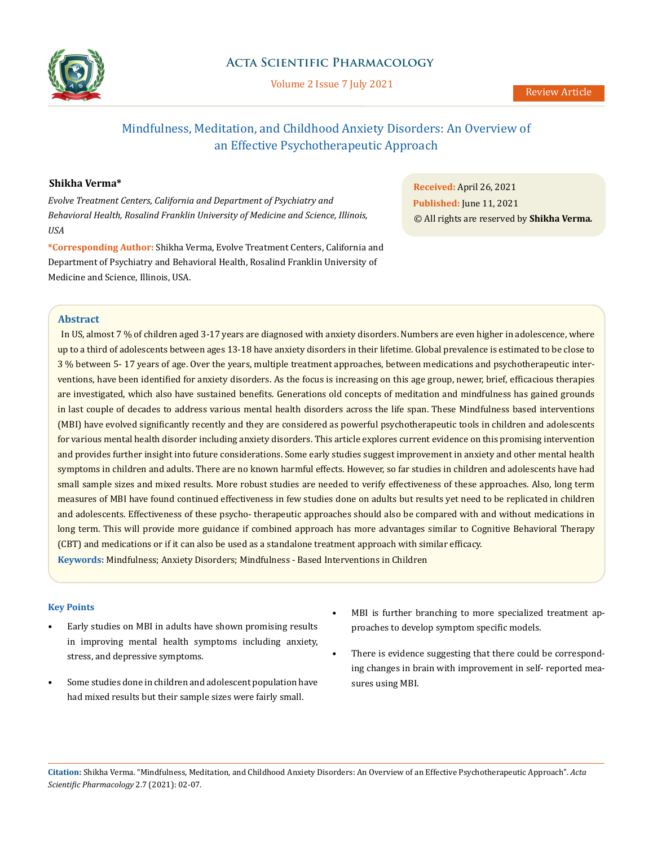

# **Acta Scientific Pharmacology**

Volume 2 Issue 7 July 2021

# Mindfulness, Meditation, and Childhood Anxiety Disorders: An Overview of an Effective Psychotherapeutic Approach

# **Shikha Verma\***

*Evolve Treatment Centers, California and Department of Psychiatry and Behavioral Health, Rosalind Franklin University of Medicine and Science, Illinois, USA*

**\*Corresponding Author:** Shikha Verma, Evolve Treatment Centers, California and Department of Psychiatry and Behavioral Health, Rosalind Franklin University of Medicine and Science, Illinois, USA.

**Received:** April 26, 2021 **Published:** June 11, 2021 © All rights are reserved by **Shikha Verma***.*

## **Abstract**

 In US, almost 7 % of children aged 3-17 years are diagnosed with anxiety disorders. Numbers are even higher in adolescence, where up to a third of adolescents between ages 13-18 have anxiety disorders in their lifetime. Global prevalence is estimated to be close to 3 % between 5- 17 years of age. Over the years, multiple treatment approaches, between medications and psychotherapeutic interventions, have been identified for anxiety disorders. As the focus is increasing on this age group, newer, brief, efficacious therapies are investigated, which also have sustained benefits. Generations old concepts of meditation and mindfulness has gained grounds in last couple of decades to address various mental health disorders across the life span. These Mindfulness based interventions (MBI) have evolved significantly recently and they are considered as powerful psychotherapeutic tools in children and adolescents for various mental health disorder including anxiety disorders. This article explores current evidence on this promising intervention and provides further insight into future considerations. Some early studies suggest improvement in anxiety and other mental health symptoms in children and adults. There are no known harmful effects. However, so far studies in children and adolescents have had small sample sizes and mixed results. More robust studies are needed to verify effectiveness of these approaches. Also, long term measures of MBI have found continued effectiveness in few studies done on adults but results yet need to be replicated in children and adolescents. Effectiveness of these psycho- therapeutic approaches should also be compared with and without medications in long term. This will provide more guidance if combined approach has more advantages similar to Cognitive Behavioral Therapy (CBT) and medications or if it can also be used as a standalone treatment approach with similar efficacy. **Keywords:** Mindfulness; Anxiety Disorders; Mindfulness - Based Interventions in Children

## **Key Points**

- Early studies on MBI in adults have shown promising results in improving mental health symptoms including anxiety, stress, and depressive symptoms.
- Some studies done in children and adolescent population have had mixed results but their sample sizes were fairly small.
- MBI is further branching to more specialized treatment approaches to develop symptom specific models.
- There is evidence suggesting that there could be corresponding changes in brain with improvement in self- reported measures using MBI.

**Citation:** Shikha Verma*.* "Mindfulness, Meditation, and Childhood Anxiety Disorders: An Overview of an Effective Psychotherapeutic Approach". *Acta Scientific Pharmacology* 2.7 (2021): 02-07.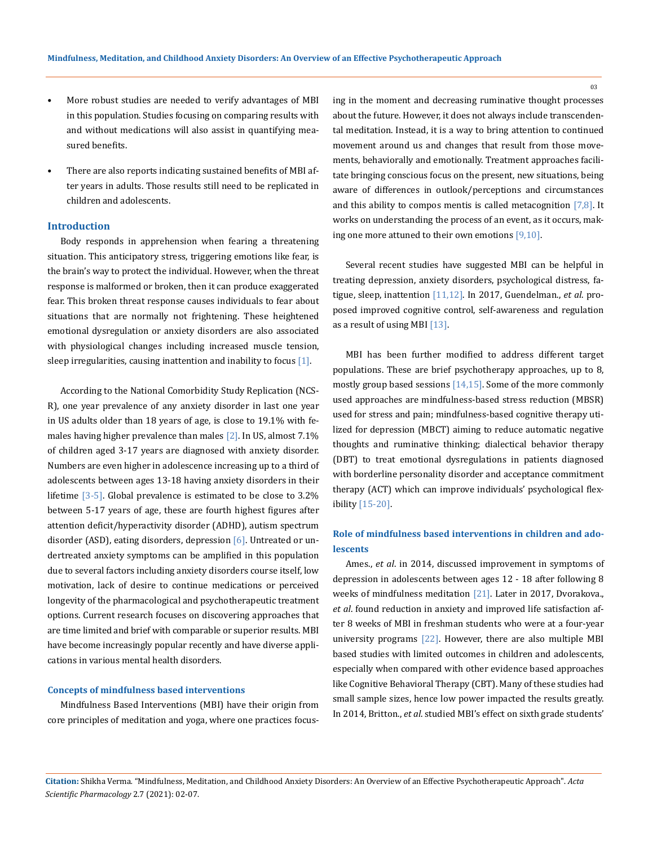- More robust studies are needed to verify advantages of MBI in this population. Studies focusing on comparing results with and without medications will also assist in quantifying measured benefits.
- There are also reports indicating sustained benefits of MBI after years in adults. Those results still need to be replicated in children and adolescents.

### **Introduction**

Body responds in apprehension when fearing a threatening situation. This anticipatory stress, triggering emotions like fear, is the brain's way to protect the individual. However, when the threat response is malformed or broken, then it can produce exaggerated fear. This broken threat response causes individuals to fear about situations that are normally not frightening. These heightened emotional dysregulation or anxiety disorders are also associated with physiological changes including increased muscle tension, sleep irregularities, causing inattention and inability to focus  $[1]$ .

According to the National Comorbidity Study Replication (NCS-R), one year prevalence of any anxiety disorder in last one year in US adults older than 18 years of age, is close to 19.1% with females having higher prevalence than males [2]. In US, almost 7.1% of children aged 3-17 years are diagnosed with anxiety disorder. Numbers are even higher in adolescence increasing up to a third of adolescents between ages 13-18 having anxiety disorders in their lifetime [3-5]. Global prevalence is estimated to be close to 3.2% between 5-17 years of age, these are fourth highest figures after attention deficit/hyperactivity disorder (ADHD), autism spectrum disorder (ASD), eating disorders, depression [6]. Untreated or undertreated anxiety symptoms can be amplified in this population due to several factors including anxiety disorders course itself, low motivation, lack of desire to continue medications or perceived longevity of the pharmacological and psychotherapeutic treatment options. Current research focuses on discovering approaches that are time limited and brief with comparable or superior results. MBI have become increasingly popular recently and have diverse applications in various mental health disorders.

#### **Concepts of mindfulness based interventions**

Mindfulness Based Interventions (MBI) have their origin from core principles of meditation and yoga, where one practices focusing in the moment and decreasing ruminative thought processes about the future. However, it does not always include transcendental meditation. Instead, it is a way to bring attention to continued movement around us and changes that result from those movements, behaviorally and emotionally. Treatment approaches facilitate bringing conscious focus on the present, new situations, being aware of differences in outlook/perceptions and circumstances and this ability to compos mentis is called metacognition  $[7,8]$ . It works on understanding the process of an event, as it occurs, making one more attuned to their own emotions [9,10].

Several recent studies have suggested MBI can be helpful in treating depression, anxiety disorders, psychological distress, fatigue, sleep, inattention [11,12]. In 2017, Guendelman., *et al*. proposed improved cognitive control, self-awareness and regulation as a result of using MBI [13].

MBI has been further modified to address different target populations. These are brief psychotherapy approaches, up to 8, mostly group based sessions [14,15]. Some of the more commonly used approaches are mindfulness-based stress reduction (MBSR) used for stress and pain; mindfulness-based cognitive therapy utilized for depression (MBCT) aiming to reduce automatic negative thoughts and ruminative thinking; dialectical behavior therapy (DBT) to treat emotional dysregulations in patients diagnosed with borderline personality disorder and acceptance commitment therapy (ACT) which can improve individuals' psychological flexibility [15-20].

# **Role of mindfulness based interventions in children and adolescents**

Ames., *et al*. in 2014, discussed improvement in symptoms of depression in adolescents between ages 12 - 18 after following 8 weeks of mindfulness meditation [21]. Later in 2017, Dvorakova., *et al*. found reduction in anxiety and improved life satisfaction after 8 weeks of MBI in freshman students who were at a four-year university programs [22]. However, there are also multiple MBI based studies with limited outcomes in children and adolescents, especially when compared with other evidence based approaches like Cognitive Behavioral Therapy (CBT). Many of these studies had small sample sizes, hence low power impacted the results greatly. In 2014, Britton., *et al*. studied MBI's effect on sixth grade students'

03

**Citation:** Shikha Verma*.* "Mindfulness, Meditation, and Childhood Anxiety Disorders: An Overview of an Effective Psychotherapeutic Approach". *Acta Scientific Pharmacology* 2.7 (2021): 02-07.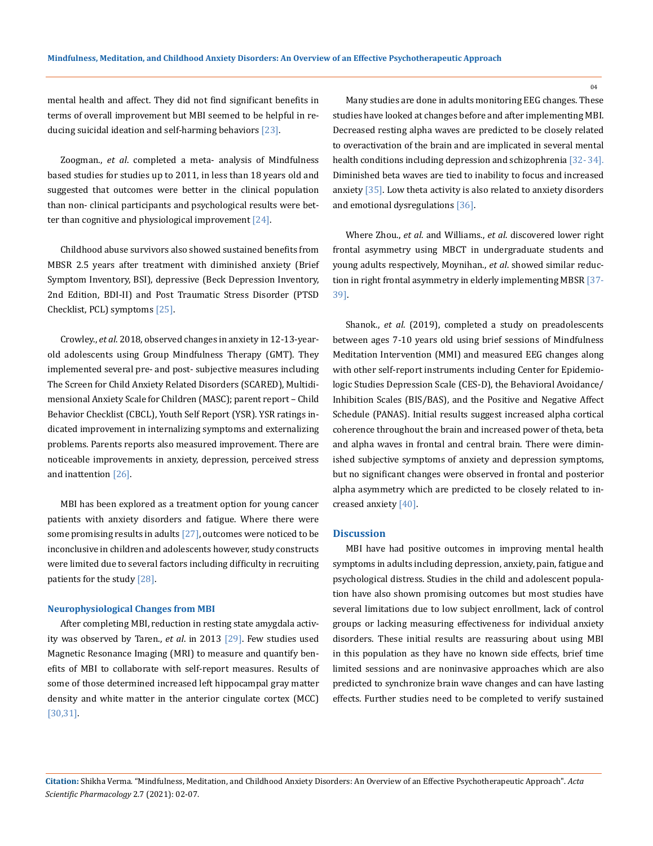mental health and affect. They did not find significant benefits in terms of overall improvement but MBI seemed to be helpful in reducing suicidal ideation and self-harming behaviors [23].

Zoogman., *et al*. completed a meta- analysis of Mindfulness based studies for studies up to 2011, in less than 18 years old and suggested that outcomes were better in the clinical population than non- clinical participants and psychological results were better than cognitive and physiological improvement [24].

Childhood abuse survivors also showed sustained benefits from MBSR 2.5 years after treatment with diminished anxiety (Brief Symptom Inventory, BSI), depressive (Beck Depression Inventory, 2nd Edition, BDI-II) and Post Traumatic Stress Disorder (PTSD Checklist, PCL) symptoms [25].

Crowley., *et al*. 2018, observed changes in anxiety in 12-13-yearold adolescents using Group Mindfulness Therapy (GMT). They implemented several pre- and post- subjective measures including The Screen for Child Anxiety Related Disorders (SCARED), Multidimensional Anxiety Scale for Children (MASC); parent report – Child Behavior Checklist (CBCL), Youth Self Report (YSR). YSR ratings indicated improvement in internalizing symptoms and externalizing problems. Parents reports also measured improvement. There are noticeable improvements in anxiety, depression, perceived stress and inattention [26].

MBI has been explored as a treatment option for young cancer patients with anxiety disorders and fatigue. Where there were some promising results in adults  $[27]$ , outcomes were noticed to be inconclusive in children and adolescents however, study constructs were limited due to several factors including difficulty in recruiting patients for the study [28].

#### **Neurophysiological Changes from MBI**

After completing MBI, reduction in resting state amygdala activity was observed by Taren., *et al*. in 2013 [29]. Few studies used Magnetic Resonance Imaging (MRI) to measure and quantify benefits of MBI to collaborate with self-report measures. Results of some of those determined increased left hippocampal gray matter density and white matter in the anterior cingulate cortex (MCC) [30,31].

Many studies are done in adults monitoring EEG changes. These studies have looked at changes before and after implementing MBI. Decreased resting alpha waves are predicted to be closely related to overactivation of the brain and are implicated in several mental health conditions including depression and schizophrenia [32- 34]. Diminished beta waves are tied to inability to focus and increased anxiety [35]. Low theta activity is also related to anxiety disorders and emotional dysregulations [36].

Where Zhou., *et al*. and Williams., *et al*. discovered lower right frontal asymmetry using MBCT in undergraduate students and young adults respectively, Moynihan., *et al*. showed similar reduction in right frontal asymmetry in elderly implementing MBSR [37- 39].

Shanok., *et al*. (2019), completed a study on preadolescents between ages 7-10 years old using brief sessions of Mindfulness Meditation Intervention (MMI) and measured EEG changes along with other self-report instruments including Center for Epidemiologic Studies Depression Scale (CES-D), the Behavioral Avoidance/ Inhibition Scales (BIS/BAS), and the Positive and Negative Affect Schedule (PANAS). Initial results suggest increased alpha cortical coherence throughout the brain and increased power of theta, beta and alpha waves in frontal and central brain. There were diminished subjective symptoms of anxiety and depression symptoms, but no significant changes were observed in frontal and posterior alpha asymmetry which are predicted to be closely related to increased anxiety [40].

#### **Discussion**

MBI have had positive outcomes in improving mental health symptoms in adults including depression, anxiety, pain, fatigue and psychological distress. Studies in the child and adolescent population have also shown promising outcomes but most studies have several limitations due to low subject enrollment, lack of control groups or lacking measuring effectiveness for individual anxiety disorders. These initial results are reassuring about using MBI in this population as they have no known side effects, brief time limited sessions and are noninvasive approaches which are also predicted to synchronize brain wave changes and can have lasting effects. Further studies need to be completed to verify sustained

**Citation:** Shikha Verma*.* "Mindfulness, Meditation, and Childhood Anxiety Disorders: An Overview of an Effective Psychotherapeutic Approach". *Acta Scientific Pharmacology* 2.7 (2021): 02-07.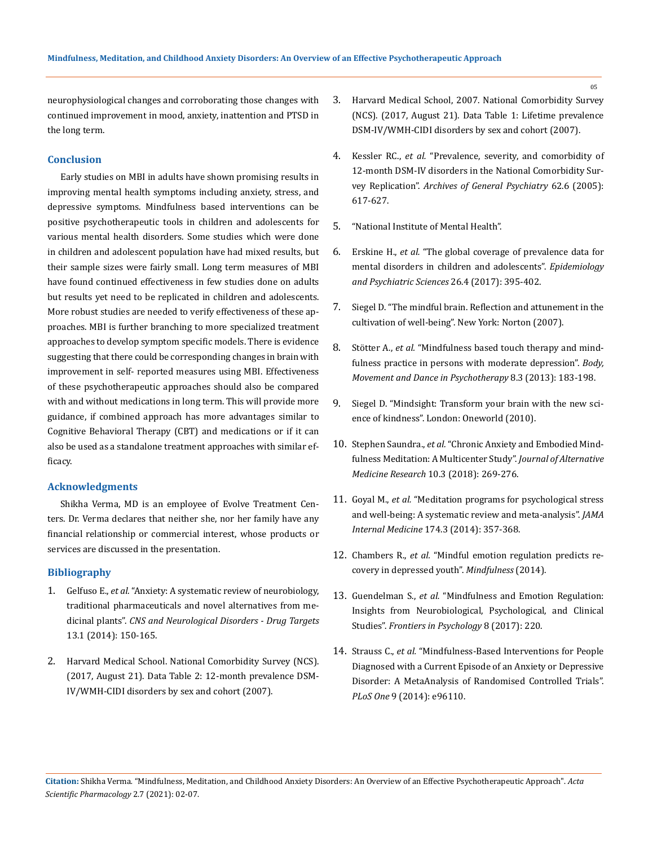neurophysiological changes and corroborating those changes with continued improvement in mood, anxiety, inattention and PTSD in the long term.

### **Conclusion**

Early studies on MBI in adults have shown promising results in improving mental health symptoms including anxiety, stress, and depressive symptoms. Mindfulness based interventions can be positive psychotherapeutic tools in children and adolescents for various mental health disorders. Some studies which were done in children and adolescent population have had mixed results, but their sample sizes were fairly small. Long term measures of MBI have found continued effectiveness in few studies done on adults but results yet need to be replicated in children and adolescents. More robust studies are needed to verify effectiveness of these approaches. MBI is further branching to more specialized treatment approaches to develop symptom specific models. There is evidence suggesting that there could be corresponding changes in brain with improvement in self- reported measures using MBI. Effectiveness of these psychotherapeutic approaches should also be compared with and without medications in long term. This will provide more guidance, if combined approach has more advantages similar to Cognitive Behavioral Therapy (CBT) and medications or if it can also be used as a standalone treatment approaches with similar efficacy.

### **Acknowledgments**

Shikha Verma, MD is an employee of Evolve Treatment Centers. Dr. Verma declares that neither she, nor her family have any financial relationship or commercial interest, whose products or services are discussed in the presentation.

### **Bibliography**

- 1. Gelfuso E., *et al.* ["Anxiety: A systematic review of neurobiology,](https://www.eurekaselect.com/114671/article)  [traditional pharmaceuticals and novel alternatives from me](https://www.eurekaselect.com/114671/article)dicinal plants". *[CNS and Neurological Disorders - Drug Targets](https://www.eurekaselect.com/114671/article)*  [13.1 \(2014\): 150-165.](https://www.eurekaselect.com/114671/article)
- 2. Harvard Medical School. National Comorbidity Survey (NCS). (2017, August 21). Data Table 2: 12-month prevalence DSM-IV/WMH-CIDI disorders by sex and cohort (2007).
- 3. Harvard Medical School, 2007. National Comorbidity Survey (NCS). (2017, August 21). Data Table 1: Lifetime prevalence DSM-IV/WMH-CIDI disorders by sex and cohort (2007).
- 4. Kessler RC., *et al.* ["Prevalence, severity, and comorbidity of](https://pubmed.ncbi.nlm.nih.gov/15939839/)  [12-month DSM-IV disorders in the National Comorbidity Sur](https://pubmed.ncbi.nlm.nih.gov/15939839/)vey Replication". *[Archives of General Psychiatry](https://pubmed.ncbi.nlm.nih.gov/15939839/)* 62.6 (2005): [617-627.](https://pubmed.ncbi.nlm.nih.gov/15939839/)
- 5. ["National Institute of Mental Health".](https://www.nimh.nih.gov/health/statistics/any-anxietydisorder.shtml)
- 6. Erskine H., *et al.* ["The global coverage of prevalence data for](https://pubmed.ncbi.nlm.nih.gov/26786507/)  [mental disorders in children and adolescents".](https://pubmed.ncbi.nlm.nih.gov/26786507/) *Epidemiology [and Psychiatric Sciences](https://pubmed.ncbi.nlm.nih.gov/26786507/)* 26.4 (2017): 395-402.
- 7. Siegel D. "The mindful brain. Reflection and attunement in the cultivation of well-being". New York: Norton (2007).
- 8. Stötter A., *et al.* ["Mindfulness based touch therapy and mind](https://www.tandfonline.com/doi/abs/10.1080/17432979.2013.803154)[fulness practice in persons with moderate depression".](https://www.tandfonline.com/doi/abs/10.1080/17432979.2013.803154) *Body, [Movement and Dance in Psychotherapy](https://www.tandfonline.com/doi/abs/10.1080/17432979.2013.803154)* 8.3 (2013): 183-198.
- 9. Siegel D. "Mindsight: Transform your brain with the new science of kindness". London: Oneworld (2010).
- 10. Stephen Saundra., *et al.* ["Chronic Anxiety and Embodied Mind](https://www.proquest.com/openview/3a27b295076a20e9a3dc08e0e7d998e3/1?pq-origsite=gscholar&cbl=2034852)[fulness Meditation: A Multicenter Study".](https://www.proquest.com/openview/3a27b295076a20e9a3dc08e0e7d998e3/1?pq-origsite=gscholar&cbl=2034852) *Journal of Alternative [Medicine Research](https://www.proquest.com/openview/3a27b295076a20e9a3dc08e0e7d998e3/1?pq-origsite=gscholar&cbl=2034852)* 10.3 (2018): 269-276.
- 11. Goyal M., *et al.* ["Meditation programs for psychological stress](https://jamanetwork.com/journals/jamainternalmedicine/fullarticle/1809754)  [and well-being: A systematic review and meta-analysis".](https://jamanetwork.com/journals/jamainternalmedicine/fullarticle/1809754) *JAMA Internal Medicine* [174.3 \(2014\): 357-368.](https://jamanetwork.com/journals/jamainternalmedicine/fullarticle/1809754)
- 12. Chambers R., *et al.* ["Mindful emotion regulation predicts re](https://link.springer.com/article/10.1007/s12671-014-0284-4)[covery in depressed youth".](https://link.springer.com/article/10.1007/s12671-014-0284-4) *Mindfulness* (2014).
- 13. Guendelman S., *et al.* ["Mindfulness and Emotion Regulation:](https://doi.org/10.3389/fpsyg.2017.00220)  [Insights from Neurobiological, Psychological, and Clinical](https://doi.org/10.3389/fpsyg.2017.00220)  Studies". *[Frontiers in Psychology](https://doi.org/10.3389/fpsyg.2017.00220)* 8 (2017): 220.
- 14. Strauss C., *et al.* ["Mindfulness-Based Interventions for People](https://journals.plos.org/plosone/article?id=10.1371/journal.pone.0096110)  [Diagnosed with a Current Episode of an Anxiety or Depressive](https://journals.plos.org/plosone/article?id=10.1371/journal.pone.0096110)  [Disorder: A MetaAnalysis of Randomised Controlled Trials".](https://journals.plos.org/plosone/article?id=10.1371/journal.pone.0096110)  *PLoS One* [9 \(2014\): e96110.](https://journals.plos.org/plosone/article?id=10.1371/journal.pone.0096110)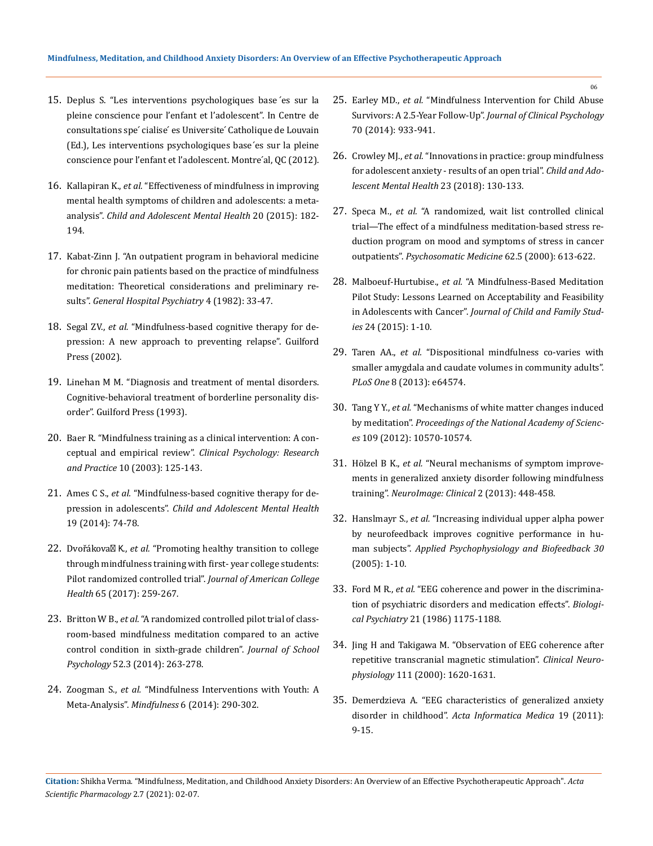- 15. Deplus S. "Les interventions psychologiques base ́es sur la pleine conscience pour l'enfant et l'adolescent". In Centre de consultations spe' cialise' es Universite' Catholique de Louvain (Ed.), Les interventions psychologiques base ́es sur la pleine conscience pour l'enfant et l'adolescent. Montre'al, QC (2012).
- 16. Kallapiran K., *et al.* ["Effectiveness of mindfulness in improving](https://acamh.onlinelibrary.wiley.com/doi/abs/10.1111/camh.12113)  [mental health symptoms of children and adolescents: a meta](https://acamh.onlinelibrary.wiley.com/doi/abs/10.1111/camh.12113)analysis". *[Child and Adolescent Mental Health](https://acamh.onlinelibrary.wiley.com/doi/abs/10.1111/camh.12113)* 20 (2015): 182- [194.](https://acamh.onlinelibrary.wiley.com/doi/abs/10.1111/camh.12113)
- 17. [Kabat-Zinn J. "An outpatient program in behavioral medicine](https://pubmed.ncbi.nlm.nih.gov/7042457/)  [for chronic pain patients based on the practice of mindfulness](https://pubmed.ncbi.nlm.nih.gov/7042457/)  [meditation: Theoretical considerations and preliminary re](https://pubmed.ncbi.nlm.nih.gov/7042457/)sults". *[General Hospital Psychiatry](https://pubmed.ncbi.nlm.nih.gov/7042457/)* 4 (1982): 33-47.
- 18. Segal ZV., *et al.* ["Mindfulness-based cognitive therapy for de](https://psycnet.apa.org/record/2001-05895-000)[pression: A new approach to preventing relapse". Guilford](https://psycnet.apa.org/record/2001-05895-000)  [Press \(2002\).](https://psycnet.apa.org/record/2001-05895-000)
- 19. Linehan M M. "Diagnosis and treatment of mental disorders. Cognitive-behavioral treatment of borderline personality disorder". Guilford Press (1993).
- 20. [Baer R. "Mindfulness training as a clinical intervention: A con](https://onlinelibrary.wiley.com/doi/abs/10.1093/clipsy.bpg015)ceptual and empirical review". *[Clinical Psychology: Research](https://onlinelibrary.wiley.com/doi/abs/10.1093/clipsy.bpg015)  and Practice* [10 \(2003\): 125-143.](https://onlinelibrary.wiley.com/doi/abs/10.1093/clipsy.bpg015)
- 21. Ames C S., *et al.* ["Mindfulness-based cognitive therapy for de](https://doi.org/10.1111/camh.12034)pression in adolescents". *[Child and Adolescent Mental Health](https://doi.org/10.1111/camh.12034)*  [19 \(2014\): 74-78.](https://doi.org/10.1111/camh.12034)
- 22. Dvořáková K., *et al.* ["Promoting healthy transition to college](https://doi.org/10.1080/07448481.2017.1278605)  [through mindfulness training with first- year college students:](https://doi.org/10.1080/07448481.2017.1278605)  Pilot randomized controlled trial". *[Journal of American College](https://doi.org/10.1080/07448481.2017.1278605)  Health* [65 \(2017\): 259-267.](https://doi.org/10.1080/07448481.2017.1278605)
- 23. Britton W B., *et al.* ["A randomized controlled pilot trial of class](https://www.sciencedirect.com/science/article/pii/S0022440514000296)[room-based mindfulness meditation compared to an active](https://www.sciencedirect.com/science/article/pii/S0022440514000296)  [control condition in sixth-grade children".](https://www.sciencedirect.com/science/article/pii/S0022440514000296) *Journal of School Psychology* [52.3 \(2014\): 263-278.](https://www.sciencedirect.com/science/article/pii/S0022440514000296)
- 24. Zoogman S., *et al.* ["Mindfulness Interventions with Youth: A](https://link.springer.com/article/10.1007/s12671-013-0260-4)  Meta-Analysis". *Mindfulness* [6 \(2014\): 290-302.](https://link.springer.com/article/10.1007/s12671-013-0260-4)
- 25. Earley MD., *et al.* ["Mindfulness Intervention for Child Abuse](https://onlinelibrary.wiley.com/doi/abs/10.1002/jclp.22102)  Survivors: A 2.5-Year Follow-Up". *[Journal of Clinical Psychology](https://onlinelibrary.wiley.com/doi/abs/10.1002/jclp.22102)*  [70 \(2014\): 933-941.](https://onlinelibrary.wiley.com/doi/abs/10.1002/jclp.22102)
- 26. Crowley MJ., *et al.* ["Innovations in practice: group mindfulness](https://acamh.onlinelibrary.wiley.com/doi/abs/10.1111/camh.12214)  [for adolescent anxiety - results of an open trial".](https://acamh.onlinelibrary.wiley.com/doi/abs/10.1111/camh.12214) *Child and Ado[lescent Mental Health](https://acamh.onlinelibrary.wiley.com/doi/abs/10.1111/camh.12214)* 23 (2018): 130-133.
- 27. Speca M., *et al.* ["A randomized, wait list controlled clinical](https://pubmed.ncbi.nlm.nih.gov/11020090/)  [trial—The effect of a mindfulness meditation-based stress re](https://pubmed.ncbi.nlm.nih.gov/11020090/)[duction program on mood and symptoms of stress in cancer](https://pubmed.ncbi.nlm.nih.gov/11020090/)  outpatients". *[Psychosomatic Medicine](https://pubmed.ncbi.nlm.nih.gov/11020090/)* 62.5 (2000): 613-622.
- 28. Malboeuf-Hurtubise., *et al.* ["A Mindfulness-Based Meditation](https://link.springer.com/article/10.1007/s10826-015-0299-z)  [Pilot Study: Lessons Learned on Acceptability and Feasibility](https://link.springer.com/article/10.1007/s10826-015-0299-z)  in Adolescents with Cancer". *[Journal of Child and Family Stud](https://link.springer.com/article/10.1007/s10826-015-0299-z)ies* [24 \(2015\): 1-10.](https://link.springer.com/article/10.1007/s10826-015-0299-z)
- 29. Taren AA., *et al.* ["Dispositional mindfulness co-varies with](https://doi.org/10.1371/journal.pone.0064574)  [smaller amygdala and caudate volumes in community adults".](https://doi.org/10.1371/journal.pone.0064574)  *PLoS One* [8 \(2013\): e64574.](https://doi.org/10.1371/journal.pone.0064574)
- 30. Tang Y Y., *et al.* ["Mechanisms of white matter changes induced](https://doi.org/10.1073/pnas.1207817109)  by meditation". *[Proceedings of the National Academy of Scienc](https://doi.org/10.1073/pnas.1207817109)es* [109 \(2012\): 10570-10574.](https://doi.org/10.1073/pnas.1207817109)
- 31. Hölzel B K., *et al.* ["Neural mechanisms of symptom improve](https://doi.org/10.1016/j.nicl.2013.03.011)[ments in generalized anxiety disorder following mindfulness](https://doi.org/10.1016/j.nicl.2013.03.011)  training". *[NeuroImage: Clinical](https://doi.org/10.1016/j.nicl.2013.03.011)* 2 (2013): 448-458.
- 32. Hanslmayr S., *et al.* ["Increasing individual upper alpha power](https://doi.org/10.1007/s10484-005-2169-8)  [by neurofeedback improves cognitive performance in hu](https://doi.org/10.1007/s10484-005-2169-8)man subjects". *[Applied Psychophysiology and Biofeedback 30](https://doi.org/10.1007/s10484-005-2169-8)* [\(2005\): 1-10.](https://doi.org/10.1007/s10484-005-2169-8)
- 33. Ford M R., *et al.* ["EEG coherence and power in the discrimina](https://doi.org/10.1016/0006-3223(86)90224-6)[tion of psychiatric disorders and medication effects".](https://doi.org/10.1016/0006-3223(86)90224-6) *Biological Psychiatry* [21 \(1986\) 1175-1188.](https://doi.org/10.1016/0006-3223(86)90224-6)
- 34. [Jing H and Takigawa M. "Observation of EEG coherence after](https://doi.org/10.1016/S1388-2457(00)00357-6)  [repetitive transcranial magnetic stimulation".](https://doi.org/10.1016/S1388-2457(00)00357-6) *Clinical Neurophysiology* [111 \(2000\): 1620-1631.](https://doi.org/10.1016/S1388-2457(00)00357-6)
- 35. [Demerdzieva A. "EEG characteristics of generalized anxiety](https://www.researchgate.net/publication/215894683_Eeg_Characteristics_of_Generalized_Anxiety_Disorder_in_Childhood)  disorder in childhood". *[Acta Informatica Medica](https://www.researchgate.net/publication/215894683_Eeg_Characteristics_of_Generalized_Anxiety_Disorder_in_Childhood)* 19 (2011): [9-15.](https://www.researchgate.net/publication/215894683_Eeg_Characteristics_of_Generalized_Anxiety_Disorder_in_Childhood)

**Citation:** Shikha Verma*.* "Mindfulness, Meditation, and Childhood Anxiety Disorders: An Overview of an Effective Psychotherapeutic Approach". *Acta Scientific Pharmacology* 2.7 (2021): 02-07.